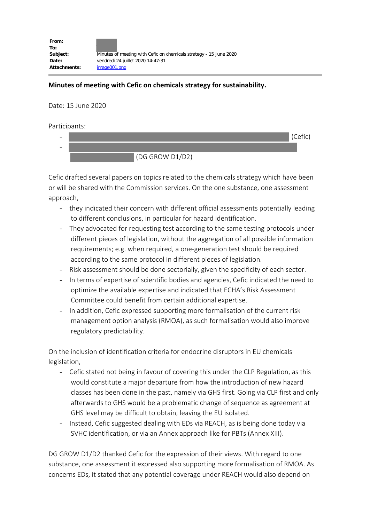## **Minutes of meeting with Cefic on chemicals strategy for sustainability.**

Date: 15 June 2020

Participants:



Cefic drafted several papers on topics related to the chemicals strategy which have been or will be shared with the Commission services. On the one substance, one assessment approach,

- they indicated their concern with different official assessments potentially leading to different conclusions, in particular for hazard identification.
- They advocated for requesting test according to the same testing protocols under different pieces of legislation, without the aggregation of all possible information requirements; e.g. when required, a one-generation test should be required according to the same protocol in different pieces of legislation.
- Risk assessment should be done sectorially, given the specificity of each sector.
- In terms of expertise of scientific bodies and agencies, Cefic indicated the need to optimize the available expertise and indicated that ECHA's Risk Assessment Committee could benefit from certain additional expertise.
- In addition, Cefic expressed supporting more formalisation of the current risk management option analysis (RMOA), as such formalisation would also improve regulatory predictability.

On the inclusion of identification criteria for endocrine disruptors in EU chemicals legislation,

- Cefic stated not being in favour of covering this under the CLP Regulation, as this would constitute a major departure from how the introduction of new hazard classes has been done in the past, namely via GHS first. Going via CLP first and only afterwards to GHS would be a problematic change of sequence as agreement at GHS level may be difficult to obtain, leaving the EU isolated.
- Instead, Cefic suggested dealing with EDs via REACH, as is being done today via SVHC identification, or via an Annex approach like for PBTs (Annex XIII).

DG GROW D1/D2 thanked Cefic for the expression of their views. With regard to one substance, one assessment it expressed also supporting more formalisation of RMOA. As concerns EDs, it stated that any potential coverage under REACH would also depend on